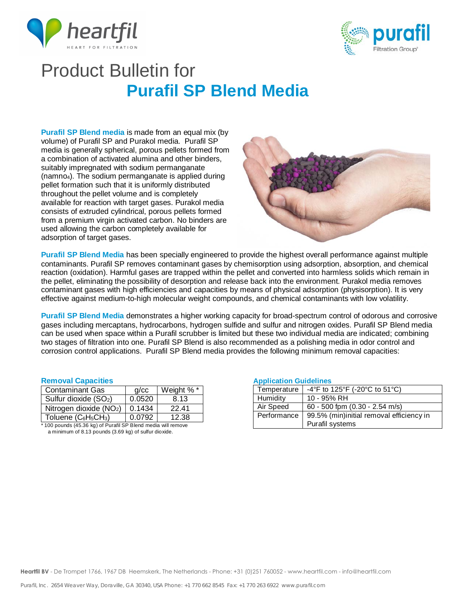



## Product Bulletin for **Purafil SP Blend Media**

**Purafil SP Blend media** is made from an equal mix (by volume) of Purafil SP and Purakol media. Purafil SP media is generally spherical, porous pellets formed from a combination of activated alumina and other binders, suitably impregnated with sodium permanganate (namno4). The sodium permanganate is applied during pellet formation such that it is uniformly distributed throughout the pellet volume and is completely available for reaction with target gases. Purakol media consists of extruded cylindrical, porous pellets formed from a premium virgin activated carbon. No binders are used allowing the carbon completely available for adsorption of target gases.



**Purafil SP Blend Media** has been specially engineered to provide the highest overall performance against multiple contaminants. Purafil SP removes contaminant gases by chemisorption using adsorption, absorption, and chemical reaction (oxidation). Harmful gases are trapped within the pellet and converted into harmless solids which remain in the pellet, eliminating the possibility of desorption and release back into the environment. Purakol media removes contaminant gases with high efficiencies and capacities by means of physical adsorption (physisorption). It is very effective against medium-to-high molecular weight compounds, and chemical contaminants with low volatility.

**Purafil SP Blend Media** demonstrates a higher working capacity for broad-spectrum control of odorous and corrosive gases including mercaptans, hydrocarbons, hydrogen sulfide and sulfur and nitrogen oxides. Purafil SP Blend media can be used when space within a Purafil scrubber is limited but these two individual media are indicated; combining two stages of filtration into one. Purafil SP Blend is also recommended as a polishing media in odor control and corrosion control applications. Purafil SP Blend media provides the following minimum removal capacities:

## **Removal Capacities**

| <b>Contaminant Gas</b>                      | q/cc   | Weight %* |  |
|---------------------------------------------|--------|-----------|--|
| Sulfur dioxide (SO <sub>2</sub> )           | 0.0520 | 8.13      |  |
| Nitrogen dioxide (NO <sub>2</sub> )         | 0.1434 | 22.41     |  |
| Toluene (C6H <sub>5</sub> CH <sub>3</sub> ) | 0.0792 | 12.38     |  |
| .                                           |        |           |  |

100 pounds (45.36 kg) of Purafil SP Blend media will remove a minimum of 8.13 pounds (3.69 kg) of sulfur dioxide.

### **Application Guidelines**

| <b>Application</b> Calachines |                                          |  |
|-------------------------------|------------------------------------------|--|
| Temperature                   | -4°F to 125°F (-20°C to 51°C)            |  |
| Humidity                      | 10 - 95% RH                              |  |
| Air Speed                     | 60 - 500 fpm (0.30 - 2.54 m/s)           |  |
| Performance                   | 99.5% (min)initial removal efficiency in |  |
|                               | Purafil systems                          |  |